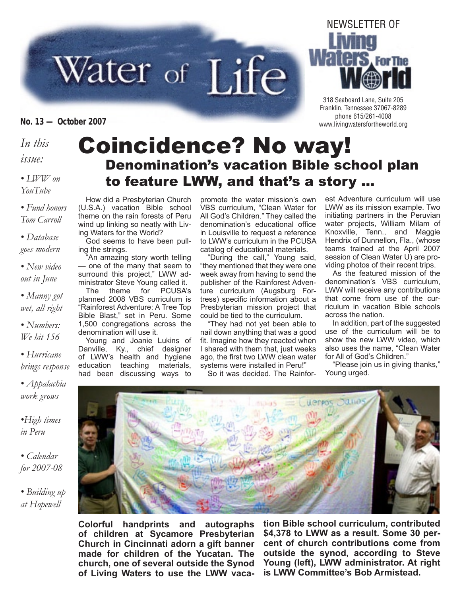# Water of Life

*In this*

*issue:*

*• LWW on YouTube*

*• Fund honors Tom Carroll*

*• Database goes modern*

*• New video out in June*

*• Manny got wet, all right*

*• Numbers: We hit 156*

*• Hurricane brings response*

*• Appalachia work grows*

*•High times in Peru*

*• Calendar for 2007-08*

*• Building up at Hopewell*

#### Coincidence? No way! Denomination's vacation Bible school plan to feature LWW, and that's a story …

How did a Presbyterian Church (U.S.A.) vacation Bible school theme on the rain forests of Peru wind up linking so neatly with Living Waters for the World?

God seems to have been pulling the strings.

"An amazing story worth telling — one of the many that seem to surround this project," LWW administrator Steve Young called it.

The theme for PCUSA's planned 2008 VBS curriculum is "Rainforest Adventure: A Tree Top Bible Blast," set in Peru. Some 1,500 congregations across the denomination will use it.

Young and Joanie Lukins of Danville, Ky., chief designer of LWW's health and hygiene education teaching materials, had been discussing ways to

promote the water mission's own VBS curriculum, "Clean Water for All God's Children." They called the denomination's educational office in Louisville to request a reference to LWW's curriculum in the PCUSA catalog of educational materials.

"During the call," Young said, "they mentioned that they were one week away from having to send the publisher of the Rainforest Adventure curriculum (Augsburg Fortress) specific information about a Presbyterian mission project that could be tied to the curriculum.

"They had not yet been able to nail down anything that was a good fit. Imagine how they reacted when I shared with them that, just weeks ago, the first two LWW clean water systems were installed in Peru!"

So it was decided. The Rainfor-

est Adventure curriculum will use LWW as its mission example. Two initiating partners in the Peruvian water projects, William Milam of Knoxville, Tenn., and Maggie Hendrix of Dunnellon, Fla., (whose teams trained at the April 2007 session of Clean Water U) are providing photos of their recent trips.

As the featured mission of the denomination's VBS curriculum, LWW will receive any contributions that come from use of the curriculum in vacation Bible schools across the nation.

In addition, part of the suggested use of the curriculum will be to show the new LWW video, which also uses the name, "Clean Water for All of God's Children."

"Please join us in giving thanks," Young urged.

**Colorful handprints and autographs of children at Sycamore Presbyterian Church in Cincinnati adorn a gift banner made for children of the Yucatan. The church, one of several outside the Synod of Living Waters to use the LWW vaca-**

**tion Bible school curriculum, contributed \$4,378 to LWW as a result. Some 30 percent of church contributions come from outside the synod, according to Steve Young (left), LWW administrator. At right is LWW Committee's Bob Armistead.**





318 Seaboard Lane, Suite 205 Franklin, Tennessee 37067-8289 phone 615/261-4008 **No. 13 — October 2007** www.livingwatersfortheworld.org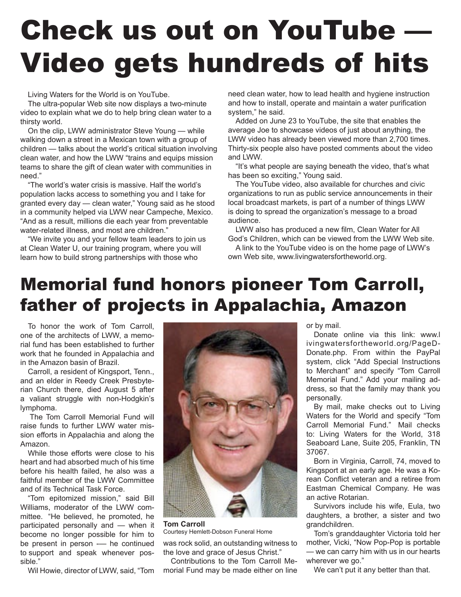# Check us out on YouTube — Video gets hundreds of hits

Living Waters for the World is on YouTube.

The ultra-popular Web site now displays a two-minute video to explain what we do to help bring clean water to a thirsty world.

On the clip, LWW administrator Steve Young — while walking down a street in a Mexican town with a group of children — talks about the world's critical situation involving clean water, and how the LWW "trains and equips mission teams to share the gift of clean water with communities in need."

"The world's water crisis is massive. Half the world's population lacks access to something you and I take for granted every day — clean water," Young said as he stood in a community helped via LWW near Campeche, Mexico. "And as a result, millions die each year from preventable water-related illness, and most are children."

"We invite you and your fellow team leaders to join us at Clean Water U, our training program, where you will learn how to build strong partnerships with those who

need clean water, how to lead health and hygiene instruction and how to install, operate and maintain a water purification system," he said.

Added on June 23 to YouTube, the site that enables the average Joe to showcase videos of just about anything, the LWW video has already been viewed more than 2,700 times. Thirty-six people also have posted comments about the video and LWW.

"It's what people are saying beneath the video, that's what has been so exciting," Young said.

The YouTube video, also available for churches and civic organizations to run as public service announcements in their local broadcast markets, is part of a number of things LWW is doing to spread the organization's message to a broad audience.

LWW also has produced a new film, Clean Water for All God's Children, which can be viewed from the LWW Web site. A link to the YouTube video is on the home page of LWW's

own Web site, www.livingwatersfortheworld.org.

### Memorial fund honors pioneer Tom Carroll, father of projects in Appalachia, Amazon

To honor the work of Tom Carroll, one of the architects of LWW, a memorial fund has been established to further work that he founded in Appalachia and in the Amazon basin of Brazil.

Carroll, a resident of Kingsport, Tenn., and an elder in Reedy Creek Presbyterian Church there, died August 5 after a valiant struggle with non-Hodgkin's lymphoma.

The Tom Carroll Memorial Fund will raise funds to further LWW water mission efforts in Appalachia and along the Amazon.

While those efforts were close to his heart and had absorbed much of his time before his health failed, he also was a faithful member of the LWW Committee and of its Technical Task Force.

"Tom epitomized mission," said Bill Williams, moderator of the LWW committee. "He believed, he promoted, he participated personally and — when it become no longer possible for him to be present in person - he continued to support and speak whenever possible."

Wil Howie, director of LWW, said, "Tom



**Tom Carroll** Courtesy Hemlett-Dobson Funeral Home

was rock solid, an outstanding witness to the love and grace of Jesus Christ."

Contributions to the Tom Carroll Memorial Fund may be made either on line or by mail.

Donate online via this link: www.l ivingwatersfortheworld.org/PageD-Donate.php. From within the PayPal system, click "Add Special Instructions to Merchant" and specify "Tom Carroll Memorial Fund." Add your mailing address, so that the family may thank you personally.

By mail, make checks out to Living Waters for the World and specify "Tom Carroll Memorial Fund." Mail checks to: Living Waters for the World, 318 Seaboard Lane, Suite 205, Franklin, TN 37067.

Born in Virginia, Carroll, 74, moved to Kingsport at an early age. He was a Korean Conflict veteran and a retiree from Eastman Chemical Company. He was an active Rotarian.

Survivors include his wife, Eula, two daughters, a brother, a sister and two grandchildren.

Tom's granddaughter Victoria told her mother, Vicki, "Now Pop-Pop is portable — we can carry him with us in our hearts wherever we go."

We can't put it any better than that.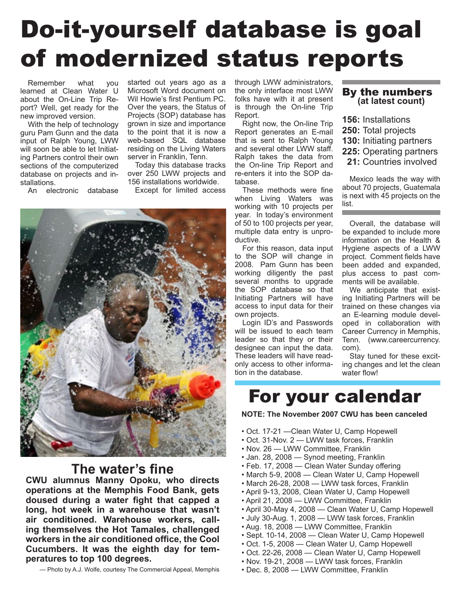# Do-it-yourself database is goal of modernized status reports

Remember what you learned at Clean Water U about the On-Line Trip Report? Well, get ready for the new improved version.

With the help of technology guru Pam Gunn and the data input of Ralph Young, LWW will soon be able to let Initiating Partners control their own sections of the computerized database on projects and installations.

An electronic database

started out years ago as a Microsoft Word document on Wil Howie's first Pentium PC. Over the years, the Status of Projects (SOP) database has grown in size and importance to the point that it is now a web-based SQL database residing on the Living Waters server in Franklin, Tenn.

Today this database tracks over 250 LWW projects and 156 installations worldwide.

Except for limited access



#### **The water's fine**

**CWU alumnus Manny Opoku, who directs operations at the Memphis Food Bank, gets doused during a water fight that capped a long, hot week in a warehouse that wasn't air conditioned. Warehouse workers, calling themselves the Hot Tamales, challenged workers in the air conditioned office, the Cool Cucumbers. It was the eighth day for temperatures to top 100 degrees.**

— Photo by A.J. Wolfe, courtesy The Commercial Appeal, Memphis

through LWW administrators, the only interface most LWW folks have with it at present is through the On-line Trip Report.

Right now, the On-line Trip Report generates an E-mail that is sent to Ralph Young and several other LWW staff. Ralph takes the data from the On-line Trip Report and re-enters it into the SOP database.

These methods were fine when Living Waters was working with 10 projects per year. In today's environment of 50 to 100 projects per year, multiple data entry is unproductive.

For this reason, data input to the SOP will change in 2008. Pam Gunn has been working diligently the past several months to upgrade the SOP database so that Initiating Partners will have access to input data for their own projects.

Login ID's and Passwords will be issued to each team leader so that they or their designee can input the data. These leaders will have readonly access to other information in the database.

### By the numbers **(at latest count)**

- **156:** Installations
- **250:** Total projects
- **130:** Initiating partners
- **225:** Operating partners
- **21:** Countries involved

Mexico leads the way with about 70 projects, Guatemala is next with 45 projects on the list.

Overall, the database will be expanded to include more information on the Health & Hygiene aspects of a LWW project. Comment fields have been added and expanded, plus access to past comments will be available.

We anticipate that existing Initiating Partners will be trained on these changes via an E-learning module developed in collaboration with Career Currency in Memphis, Tenn. (www.careercurrency. com).

Stay tuned for these exciting changes and let the clean water flow!

#### For your calendar

**NOTE: The November 2007 CWU has been canceled**

- Oct. 17-21 —Clean Water U, Camp Hopewell
- Oct. 31-Nov. 2 LWW task forces, Franklin
- Nov. 26 LWW Committee, Franklin
- Jan. 28, 2008 Synod meeting, Franklin
- Feb. 17, 2008 Clean Water Sunday offering
- March 5-9, 2008 Clean Water U, Camp Hopewell
- March 26-28, 2008 LWW task forces, Franklin
- April 9-13, 2008, Clean Water U, Camp Hopewell
- April 21, 2008 LWW Committee, Franklin
- April 30-May 4, 2008 Clean Water U, Camp Hopewell
- July 30-Aug. 1, 2008 LWW task forces, Franklin
- Aug. 18, 2008 LWW Committee, Franklin
- Sept. 10-14, 2008 Clean Water U, Camp Hopewell
- Oct. 1-5, 2008 Clean Water U, Camp Hopewell
- Oct. 22-26, 2008 Clean Water U, Camp Hopewell
- Nov. 19-21, 2008 LWW task forces, Franklin
- Dec. 8, 2008 LWW Committee, Franklin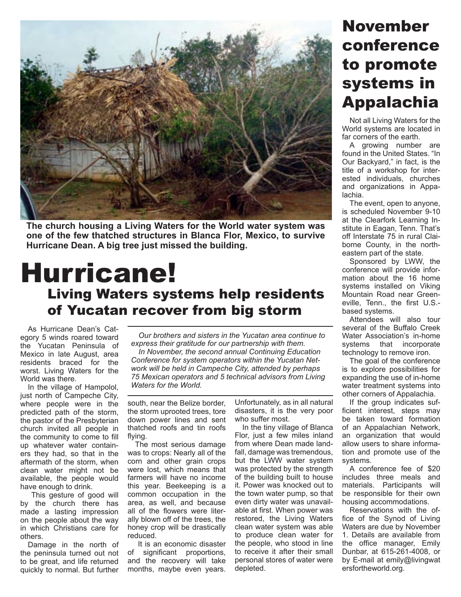

**The church housing a Living Waters for the World water system was one of the few thatched structures in Blanca Flor, Mexico, to survive Hurricane Dean. A big tree just missed the building.**

#### Hurricane! Living Waters systems help residents of Yucatan recover from big storm

As Hurricane Dean's Category 5 winds roared toward the Yucatan Peninsula of Mexico in late August, area residents braced for the worst. Living Waters for the World was there.

In the village of Hampolol, just north of Campeche City, where people were in the predicted path of the storm, the pastor of the Presbyterian church invited all people in the community to come to fill up whatever water containers they had, so that in the aftermath of the storm, when clean water might not be available, the people would have enough to drink.

 This gesture of good will by the church there has made a lasting impression on the people about the way in which Christians care for others.

Damage in the north of the peninsula turned out not to be great, and life returned quickly to normal. But further

*Our brothers and sisters in the Yucatan area continue to express their gratitude for our partnership with them. In November, the second annual Continuing Education Conference for system operators within the Yucatan Network will be held in Campeche City, attended by perhaps 75 Mexican operators and 5 technical advisors from Living Waters for the World.* 

south, near the Belize border, the storm uprooted trees, tore down power lines and sent thatched roofs and tin roofs flying.

The most serious damage was to crops: Nearly all of the corn and other grain crops were lost, which means that farmers will have no income this year. Beekeeping is a common occupation in the area, as well, and because all of the flowers were literally blown off of the trees, the honey crop will be drastically reduced.

 It is an economic disaster of significant proportions, and the recovery will take months, maybe even years.

Unfortunately, as in all natural disasters, it is the very poor who suffer most.

In the tiny village of Blanca Flor, just a few miles inland from where Dean made landfall, damage was tremendous, but the LWW water system was protected by the strength of the building built to house it. Power was knocked out to the town water pump, so that even dirty water was unavailable at first. When power was restored, the Living Waters clean water system was able to produce clean water for the people, who stood in line to receive it after their small personal stores of water were depleted.

### November conference to promote systems in Appalachia

Not all Living Waters for the World systems are located in far corners of the earth.

A growing number are found in the United States. "In Our Backyard," in fact, is the title of a workshop for interested individuals, churches and organizations in Appalachia.

The event, open to anyone, is scheduled November 9-10 at the Clearfork Learning Institute in Eagan, Tenn. That's off Interstate 75 in rural Claiborne County, in the northeastern part of the state.

Sponsored by LWW, the conference will provide information about the 16 home systems installed on Viking Mountain Road near Greeneville, Tenn., the first U.S. based systems.

Attendees will also tour several of the Buffalo Creek Water Association's in-home systems that incorporate technology to remove iron.

The goal of the conference is to explore possibilities for expanding the use of in-home water treatment systems into other corners of Appalachia.

If the group indicates sufficient interest, steps may be taken toward formation of an Appalachian Network, an organization that would allow users to share information and promote use of the systems.

A conference fee of \$20 includes three meals and materials. Participants will be responsible for their own housing accommodations.

Reservations with the office of the Synod of Living Waters are due by November 1. Details are available from the office manager, Emily Dunbar, at 615-261-4008, or by E-mail at emily@livingwat ersfortheworld.org.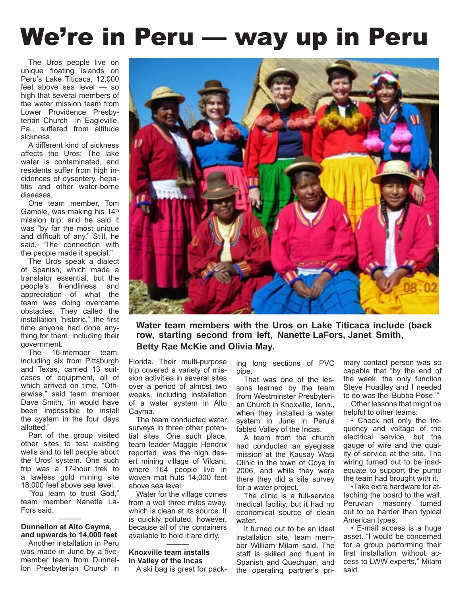## We're in Peru — way up in Peru

The Uros people live on unique floating islands on Peru's Lake Titicaca, 12,000 feet above sea level — so high that several members of the water mission team from Lower Providence Presbyterian Church in Eagleville, Pa., suffered from altitude sickness.

A different kind of sickness affects the Uros: The lake water is contaminated, and residents suffer from high incidences of dysentery, hepatitis and other water-borne diseases.

One team member, Tom Gamble, was making his 14<sup>th</sup> mission trip, and he said it was "by far the most unique and difficult of any." Still, he said, "The connection with the people made it special."

The Uros speak a dialect of Spanish, which made a translator essential, but the people's friendliness and appreciation of what the team was doing overcame obstacles. They called the installation "historic," the first time anyone had done anything for them, including their government.

The 16-member team, including six from Pittsburgh and Texas, carried 13 suitcases of equipment, all of which arrived on time. "Otherwise," said team member Dave Smith, "in would have been impossible to install the system in the four days allotted."

Part of the group visited other sites to test existing wells and to tell people about the Uros' system. One such trip was a 17-hour trek to a lawless gold mining site 18,000 feet above sea level.

"You learn to trust God," team member Nanette La-Fors said.

#### ——— **Dunnellon at Alto Cayma, and upwards to 14,000 feet**

Another installation in Peru was made in June by a fivemember team from Dunnellon Presbyterian Church in



**Water team members with the Uros on Lake Titicaca include (back row, starting second from left, Nanette LaFors, Janet Smith, Betty Rae McKie and Olivia May.**

Florida. Their multi-purpose trip covered a variety of mission activities in several sites over a period of almost two weeks, including installation of a water system in Alto Cayma.

The team conducted water surveys in three other potential sites. One such place, team leader Maggie Hendrix reported, was the high desert mining village of Vilcani, where 164 people live in woven mat huts 14,000 feet above sea level.

Water for the village comes from a well three miles away, which is clean at its source. It is quickly polluted, however, because all of the containers available to hold it are dirty.

#### ——— **Knoxville team installs in Valley of the Incas**

A ski bag is great for pack-

ing long sections of PVC pipe.

That was one of the lessons learned by the team from Westminster Presbyterian Church in Knoxville, Tenn., when they installed a water system in June in Peru's fabled Valley of the Incas.

A team from the church had conducted an eyeglass mission at the Kausay Wasi Clinic in the town of Coya in 2006, and while they were there they did a site survey for a water project.

The clinic is a full-service medical facility, but it had no economical source of clean water.

It turned out to be an ideal installation site, team member William Milam said. The staff is skilled and fluent in Spanish and Quechuan, and the operating partner's primary contact person was so capable that "by the end of the week, the only function Steve Hoadley and I needed to do was the 'Bubba Pose.'"

Other lessons that might be helpful to other teams:

• Check not only the frequency and voltage of the electrical service, but the gauge of wire and the quality of service at the site. The wiring turned out to be inadequate to support the pump the team had brought with it.

•Take extra hardware for attaching the board to the wall. Peruvian masonry turned out to be harder than typical American types.

• E-mail access is a huge asset. "I would be concerned for a group performing their first installation without access to LWW experts," Milam said.